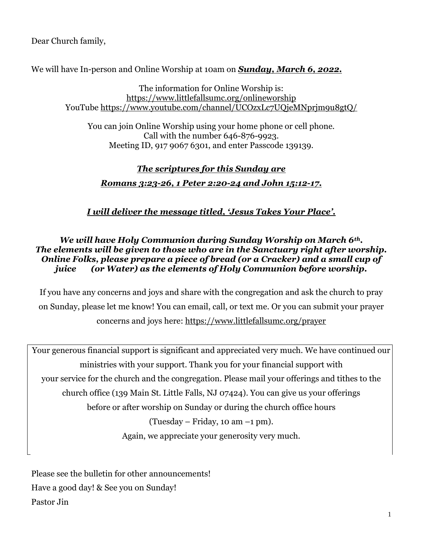Dear Church family,

We will have In-person and Online Worship at 10am on *Sunday, March 6, 2022.*

The information for Online Worship is: <https://www.littlefallsumc.org/onlineworship> YouTube<https://www.youtube.com/channel/UCOzxLc7UQjeMNprjm9u8gtQ/>

You can join Online Worship using your home phone or cell phone. Call with the number 646-876-9923. Meeting ID, 917 9067 6301, and enter Passcode 139139.

# *The scriptures for this Sunday are*

## *Romans 3:23-26, 1 Peter 2:20-24 and John 15:12-17.*

*I will deliver the message titled, 'Jesus Takes Your Place'.*

#### *We will have Holy Communion during Sunday Worship on March 6th. The elements will be given to those who are in the Sanctuary right after worship. Online Folks, please prepare a piece of bread (or a Cracker) and a small cup of juice (or Water) as the elements of Holy Communion before worship.*

If you have any concerns and joys and share with the congregation and ask the church to pray on Sunday, please let me know! You can email, call, or text me. Or you can submit your prayer concerns and joys here: <https://www.littlefallsumc.org/prayer>

Your generous financial support is significant and appreciated very much. We have continued our ministries with your support. Thank you for your financial support with your service for the church and the congregation. Please mail your offerings and tithes to the church office (139 Main St. Little Falls, NJ 07424). You can give us your offerings before or after worship on Sunday or during the church office hours (Tuesday – Friday, 10 am –1 pm). Again, we appreciate your generosity very much.

Please see the bulletin for other announcements! Have a good day! & See you on Sunday! Pastor Jin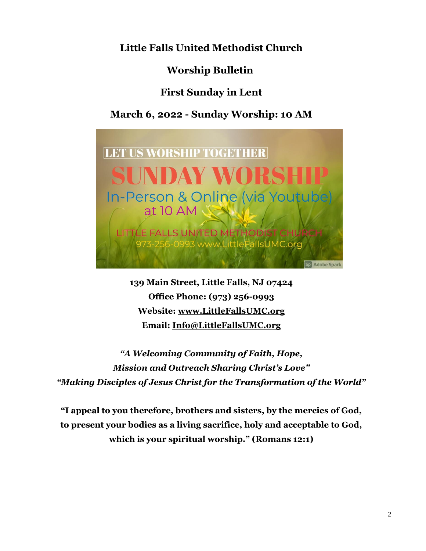**Little Falls United Methodist Church**

**Worship Bulletin**

**First Sunday in Lent**

**March 6, 2022 - Sunday Worship: 10 AM**



**139 Main Street, Little Falls, NJ 07424 Office Phone: (973) 256-0993 Website: [www.LittleFallsUMC.org](http://www.littlefallsumc.org/) Email: [Info@LittleFallsUMC.org](mailto:Info@LittleFallsUMC.org)**

*"A Welcoming Community of Faith, Hope, Mission and Outreach Sharing Christ's Love" "Making Disciples of Jesus Christ for the Transformation of the World"*

**"I appeal to you therefore, brothers and sisters, by the mercies of God, to present your bodies as a living sacrifice, holy and acceptable to God, which is your spiritual worship." (Romans 12:1)**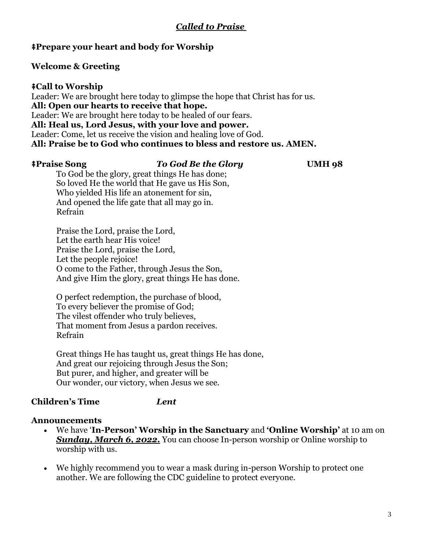## *Called to Praise*

### ⭻**Prepare your heart and body for Worship**

#### **Welcome & Greeting**

⭻**Call to Worship** Leader: We are brought here today to glimpse the hope that Christ has for us. **All: Open our hearts to receive that hope.** Leader: We are brought here today to be healed of our fears. **All: Heal us, Lord Jesus, with your love and power.** Leader: Come, let us receive the vision and healing love of God. **All: Praise be to God who continues to bless and restore us. AMEN.**

#### ⭻**Praise Song** *To God Be the Glory* **UMH 98**

To God be the glory, great things He has done; So loved He the world that He gave us His Son, Who yielded His life an atonement for sin, And opened the life gate that all may go in. Refrain

Praise the Lord, praise the Lord, Let the earth hear His voice! Praise the Lord, praise the Lord, Let the people rejoice! O come to the Father, through Jesus the Son, And give Him the glory, great things He has done.

O perfect redemption, the purchase of blood, To every believer the promise of God; The vilest offender who truly believes, That moment from Jesus a pardon receives. Refrain

Great things He has taught us, great things He has done, And great our rejoicing through Jesus the Son; But purer, and higher, and greater will be Our wonder, our victory, when Jesus we see.

#### **Children's Time** *Lent*

#### **Announcements**

- We have '**In-Person' Worship in the Sanctuary** and **'Online Worship'** at 10 am on *Sunday, March 6, 2022.* You can choose In-person worship or Online worship to worship with us.
- We highly recommend you to wear a mask during in-person Worship to protect one another. We are following the CDC guideline to protect everyone.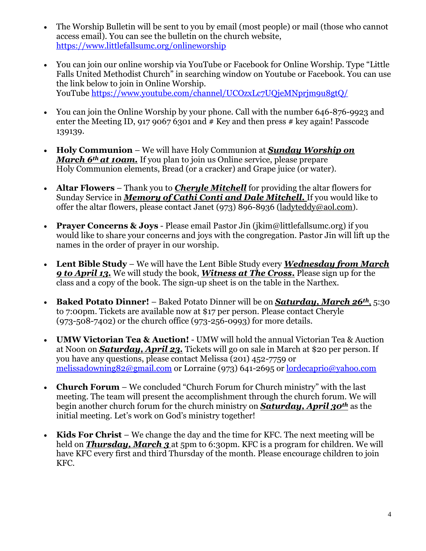- The Worship Bulletin will be sent to you by email (most people) or mail (those who cannot access email). You can see the bulletin on the church website, <https://www.littlefallsumc.org/onlineworship>
- You can join our online worship via YouTube or Facebook for Online Worship. Type "Little" Falls United Methodist Church" in searching window on Youtube or Facebook. You can use the link below to join in Online Worship. YouTube<https://www.youtube.com/channel/UCOzxLc7UQjeMNprjm9u8gtQ/>
- You can join the Online Worship by your phone. Call with the number 646-876-9923 and enter the Meeting ID, 917 9067 6301 and  $#$  Key and then press  $#$  key again! Passcode 139139.
- **Holy Communion** We will have Holy Communion at *Sunday Worship on March 6th at 10am.* If you plan to join us Online service, please prepare Holy Communion elements, Bread (or a cracker) and Grape juice (or water).
- **Altar Flowers** Thank you to *Cheryle Mitchell* for providing the altar flowers for Sunday Service in *Memory of Cathi Conti and Dale Mitchell.* If you would like to offer the altar flowers, please contact Janet (973) 896-8936 [\(ladyteddy@aol.com\)](mailto:ladyteddy@aol.com).
- **Prayer Concerns & Joys** Please email Pastor Jin (jkim@littlefallsumc.org) if you would like to share your concerns and joys with the congregation. Pastor Jin will lift up the names in the order of prayer in our worship.
- **Lent Bible Study** We will have the Lent Bible Study every *Wednesday from March 9 to April 13.* We will study the book, *Witness at The Cross***.** Please sign up for the class and a copy of the book. The sign-up sheet is on the table in the Narthex.
- **Baked Potato Dinner!** Baked Potato Dinner will be on *Saturday, March 26th*, 5:30 to 7:00pm. Tickets are available now at \$17 per person. Please contact Cheryle (973-508-7402) or the church office (973-256-0993) for more details.
- **UMW Victorian Tea & Auction!** UMW will hold the annual Victorian Tea & Auction at Noon on *Saturday, April 23.* Tickets will go on sale in March at \$20 per person. If you have any questions, please contact Melissa (201) 452-7759 or [melissadowning82@gmail.com](mailto:melissadowning82@gmail.com) or Lorraine (973) 641-2695 or [lordecaprio@yahoo.com](mailto:lordecaprio@yahoo.com)
- **Church Forum** We concluded "Church Forum for Church ministry" with the last meeting. The team will present the accomplishment through the church forum. We will begin another church forum for the church ministry on *Saturday, April 30th* as the initial meeting. Let's work on God's ministry together!
- **Kids For Christ** We change the day and the time for KFC. The next meeting will be held on **Thursday, March 3** at 5pm to 6:30pm. KFC is a program for children. We will have KFC every first and third Thursday of the month. Please encourage children to join KFC.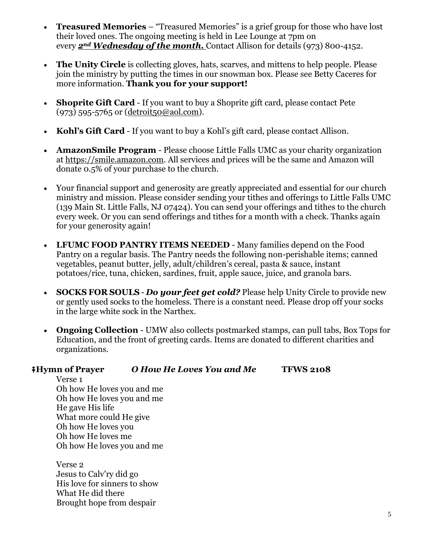- **Treasured Memories**  "Treasured Memories" is a grief group for those who have lost their loved ones. The ongoing meeting is held in Lee Lounge at 7pm on every *2nd Wednesday of the month.* Contact Allison for details (973) 800-4152.
- **The Unity Circle** is collecting gloves, hats, scarves, and mittens to help people. Please join the ministry by putting the times in our snowman box. Please see Betty Caceres for more information. **Thank you for your support!**
- **Shoprite Gift Card** If you want to buy a Shoprite gift card, please contact Pete (973) 595-5765 or [\(detroit50@aol.com\)](mailto:detroit50@aol.com).
- **Kohl's Gift Card** If you want to buy a Kohl's gift card, please contact Allison.
- **AmazonSmile Program**  Please choose Little Falls UMC as your charity organization at https://smile.amazon.com. All services and prices will be the same and Amazon will donate 0.5% of your purchase to the church.
- Your financial support and generosity are greatly appreciated and essential for our church ministry and mission. Please consider sending your tithes and offerings to Little Falls UMC (139 Main St. Little Falls, NJ 07424). You can send your offerings and tithes to the church every week. Or you can send offerings and tithes for a month with a check. Thanks again for your generosity again!
- **LFUMC FOOD PANTRY ITEMS NEEDED** Many families depend on the Food Pantry on a regular basis. The Pantry needs the following non-perishable items; canned vegetables, peanut butter, jelly, adult/children's cereal, pasta & sauce, instant potatoes/rice, tuna, chicken, sardines, fruit, apple sauce, juice, and granola bars.
- **SOCKS FOR SOULS** *Do your feet get cold?* Please help Unity Circle to provide new or gently used socks to the homeless. There is a constant need. Please drop off your socks in the large white sock in the Narthex.
- **Ongoing Collection** UMW also collects postmarked stamps, can pull tabs, Box Tops for Education, and the front of greeting cards. Items are donated to different charities and organizations.

#### ⭻**Hymn of Prayer** *O How He Loves You and Me* **TFWS 2108**

Verse 1 Oh how He loves you and me Oh how He loves you and me He gave His life What more could He give Oh how He loves you Oh how He loves me Oh how He loves you and me

Verse 2 Jesus to Calv'ry did go His love for sinners to show What He did there Brought hope from despair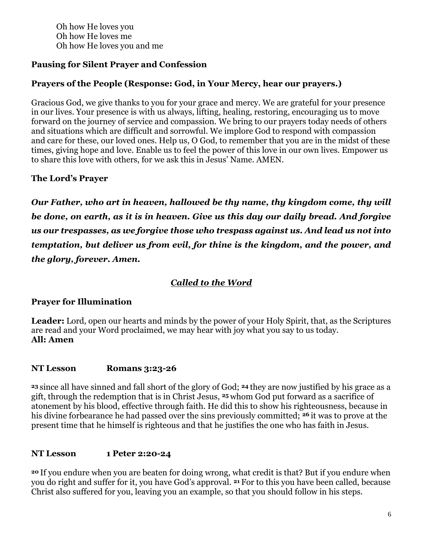Oh how He loves you Oh how He loves me Oh how He loves you and me

## **Pausing for Silent Prayer and Confession**

## **Prayers of the People (Response: God, in Your Mercy, hear our prayers.)**

Gracious God, we give thanks to you for your grace and mercy. We are grateful for your presence in our lives. Your presence is with us always, lifting, healing, restoring, encouraging us to move forward on the journey of service and compassion. We bring to our prayers today needs of others and situations which are difficult and sorrowful. We implore God to respond with compassion and care for these, our loved ones. Help us, O God, to remember that you are in the midst of these times, giving hope and love. Enable us to feel the power of this love in our own lives. Empower us to share this love with others, for we ask this in Jesus' Name. AMEN.

## **The Lord's Prayer**

*Our Father, who art in heaven, hallowed be thy name, thy kingdom come, thy will be done, on earth, as it is in heaven. Give us this day our daily bread. And forgive us our trespasses, as we forgive those who trespass against us. And lead us not into temptation, but deliver us from evil, for thine is the kingdom, and the power, and the glory, forever. Amen.*

## *Called to the Word*

## **Prayer for Illumination**

**Leader:** Lord, open our hearts and minds by the power of your Holy Spirit, that, as the Scriptures are read and your Word proclaimed, we may hear with joy what you say to us today. **All: Amen**

#### **NT Lesson Romans 3:23-26**

**<sup>23</sup>** since all have sinned and fall short of the glory of God; **<sup>24</sup>** they are now justified by his grace as a gift, through the redemption that is in Christ Jesus, **<sup>25</sup>** whom God put forward as a sacrifice of atonement by his blood, effective through faith. He did this to show his righteousness, because in his divine forbearance he had passed over the sins previously committed; **<sup>26</sup>** it was to prove at the present time that he himself is righteous and that he justifies the one who has faith in Jesus.

## **NT Lesson 1 Peter 2:20-24**

**<sup>20</sup>** If you endure when you are beaten for doing wrong, what credit is that? But if you endure when you do right and suffer for it, you have God's approval. **<sup>21</sup>** For to this you have been called, because Christ also suffered for you, leaving you an example, so that you should follow in his steps.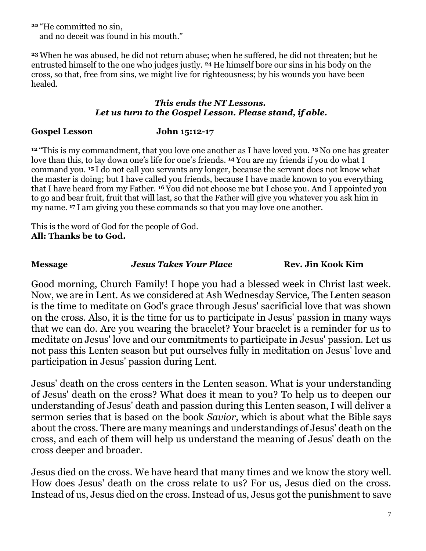**<sup>22</sup>** "He committed no sin, and no deceit was found in his mouth."

**<sup>23</sup>** When he was abused, he did not return abuse; when he suffered, he did not threaten; but he entrusted himself to the one who judges justly. **<sup>24</sup>** He himself bore our sins in his body on the cross, so that, free from sins, we might live for righteousness; by his wounds you have been healed.

#### *This ends the NT Lessons. Let us turn to the Gospel Lesson. Please stand, if able.*

## **Gospel Lesson John 15:12-17**

**<sup>12</sup>** "This is my commandment, that you love one another as I have loved you. **<sup>13</sup>** No one has greater love than this, to lay down one's life for one's friends. **<sup>14</sup>** You are my friends if you do what I command you. **<sup>15</sup>** I do not call you servants any longer, because the servant does not know what the master is doing; but I have called you friends, because I have made known to you everything that I have heard from my Father. **<sup>16</sup>** You did not choose me but I chose you. And I appointed you to go and bear fruit, fruit that will last, so that the Father will give you whatever you ask him in my name. **<sup>17</sup>** I am giving you these commands so that you may love one another.

This is the word of God for the people of God. **All: Thanks be to God.**

**Message** *Jesus Takes Your Place* **Rev. Jin Kook Kim**

Good morning, Church Family! I hope you had a blessed week in Christ last week. Now, we are in Lent. As we considered at Ash Wednesday Service, The Lenten season is the time to meditate on God's grace through Jesus' sacrificial love that was shown on the cross. Also, it is the time for us to participate in Jesus' passion in many ways that we can do. Are you wearing the bracelet? Your bracelet is a reminder for us to meditate on Jesus' love and our commitments to participate in Jesus' passion. Let us not pass this Lenten season but put ourselves fully in meditation on Jesus' love and participation in Jesus' passion during Lent.

Jesus' death on the cross centers in the Lenten season. What is your understanding of Jesus' death on the cross? What does it mean to you? To help us to deepen our understanding of Jesus' death and passion during this Lenten season, I will deliver a sermon series that is based on the book *Savior*, which is about what the Bible says about the cross. There are many meanings and understandings of Jesus' death on the cross, and each of them will help us understand the meaning of Jesus' death on the cross deeper and broader.

Jesus died on the cross. We have heard that many times and we know the story well. How does Jesus' death on the cross relate to us? For us, Jesus died on the cross. Instead of us, Jesus died on the cross. Instead of us, Jesus got the punishment to save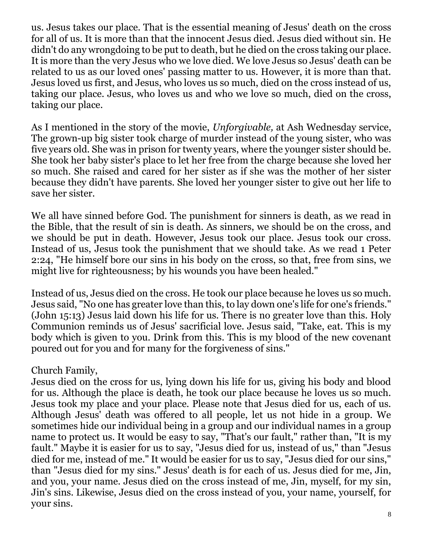us. Jesus takes our place. That is the essential meaning of Jesus' death on the cross for all of us. It is more than that the innocent Jesus died. Jesus died without sin. He didn't do any wrongdoing to be put to death, but he died on the cross taking our place. It is more than the very Jesus who we love died. We love Jesus so Jesus' death can be related to us as our loved ones' passing matter to us. However, it is more than that. Jesus loved us first, and Jesus, who loves us so much, died on the cross instead of us, taking our place. Jesus, who loves us and who we love so much, died on the cross, taking our place.

As I mentioned in the story of the movie, *Unforgivable,* at Ash Wednesday service, The grown-up big sister took charge of murder instead of the young sister, who was five years old. She was in prison for twenty years, where the younger sister should be. She took her baby sister's place to let her free from the charge because she loved her so much. She raised and cared for her sister as if she was the mother of her sister because they didn't have parents. She loved her younger sister to give out her life to save her sister.

We all have sinned before God. The punishment for sinners is death, as we read in the Bible, that the result of sin is death. As sinners, we should be on the cross, and we should be put in death. However, Jesus took our place. Jesus took our cross. Instead of us, Jesus took the punishment that we should take. As we read 1 Peter 2:24, "He himself bore our sins in his body on the cross, so that, free from sins, we might live for righteousness; by his wounds you have been healed."

Instead of us, Jesus died on the cross. He took our place because he loves us so much. Jesus said, "No one has greater love than this, to lay down one's life for one's friends." (John 15:13) Jesus laid down his life for us. There is no greater love than this. Holy Communion reminds us of Jesus' sacrificial love. Jesus said, "Take, eat. This is my body which is given to you. Drink from this. This is my blood of the new covenant poured out for you and for many for the forgiveness of sins."

# Church Family,

Jesus died on the cross for us, lying down his life for us, giving his body and blood for us. Although the place is death, he took our place because he loves us so much. Jesus took my place and your place. Please note that Jesus died for us, each of us. Although Jesus' death was offered to all people, let us not hide in a group. We sometimes hide our individual being in a group and our individual names in a group name to protect us. It would be easy to say, "That's our fault," rather than, "It is my fault." Maybe it is easier for us to say, "Jesus died for us, instead of us," than "Jesus died for me, instead of me." It would be easier for us to say, "Jesus died for our sins," than "Jesus died for my sins." Jesus' death is for each of us. Jesus died for me, Jin, and you, your name. Jesus died on the cross instead of me, Jin, myself, for my sin, Jin's sins. Likewise, Jesus died on the cross instead of you, your name, yourself, for your sins.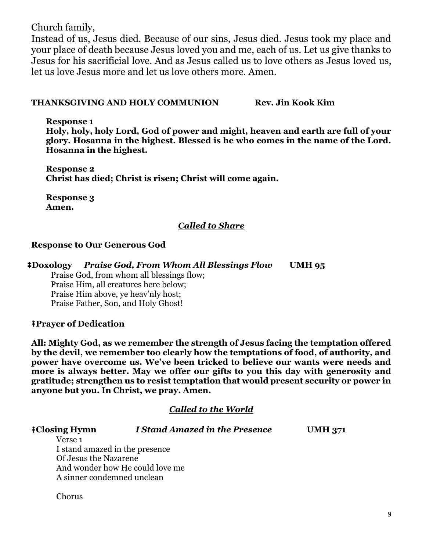Church family,

Instead of us, Jesus died. Because of our sins, Jesus died. Jesus took my place and your place of death because Jesus loved you and me, each of us. Let us give thanks to Jesus for his sacrificial love. And as Jesus called us to love others as Jesus loved us, let us love Jesus more and let us love others more. Amen.

#### **THANKSGIVING AND HOLY COMMUNION Rev. Jin Kook Kim**

**Response 1**

**Holy, holy, holy Lord, God of power and might, heaven and earth are full of your glory. Hosanna in the highest. Blessed is he who comes in the name of the Lord. Hosanna in the highest.**

**Response 2 Christ has died; Christ is risen; Christ will come again.**

**Response 3 Amen.**

## *Called to Share*

## **Response to Our Generous God**

⭻**Doxology** *Praise God, From Whom All Blessings Flow* **UMH 95**

Praise God, from whom all blessings flow; Praise Him, all creatures here below; Praise Him above, ye heav'nly host; Praise Father, Son, and Holy Ghost!

#### ⭻**Prayer of Dedication**

Chorus

**All: Mighty God, as we remember the strength of Jesus facing the temptation offered by the devil, we remember too clearly how the temptations of food, of authority, and power have overcome us. We've been tricked to believe our wants were needs and more is always better. May we offer our gifts to you this day with generosity and gratitude; strengthen us to resist temptation that would present security or power in anyone but you. In Christ, we pray. Amen.**

## *Called to the World*

| ‡Closing Hymn                  | I Stand Amazed in the Presence  | <b>UMH 371</b> |
|--------------------------------|---------------------------------|----------------|
| Verse 1                        |                                 |                |
| I stand amazed in the presence |                                 |                |
| Of Jesus the Nazarene          |                                 |                |
|                                | And wonder how He could love me |                |
| A sinner condemned unclean     |                                 |                |
|                                |                                 |                |